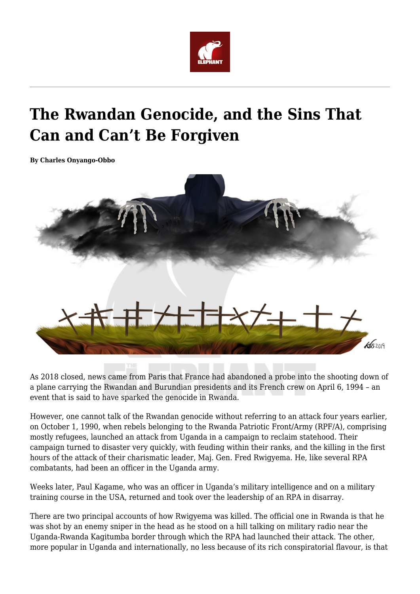

## **The Rwandan Genocide, and the Sins That Can and Can't Be Forgiven**

**By Charles Onyango-Obbo**



As 2018 closed, news came from Paris that France had abandoned a probe into the shooting down of a plane carrying the Rwandan and Burundian presidents and its French crew on April 6, 1994 – an event that is said to have sparked the genocide in Rwanda.

However, one cannot talk of the Rwandan genocide without referring to an attack four years earlier, on October 1, 1990, when rebels belonging to the Rwanda Patriotic Front/Army (RPF/A), comprising mostly refugees, launched an attack from Uganda in a campaign to reclaim statehood. Their campaign turned to disaster very quickly, with feuding within their ranks, and the killing in the first hours of the attack of their charismatic leader, Maj. Gen. Fred Rwigyema. He, like several RPA combatants, had been an officer in the Uganda army.

Weeks later, Paul Kagame, who was an officer in Uganda's military intelligence and on a military training course in the USA, returned and took over the leadership of an RPA in disarray.

There are two principal accounts of how Rwigyema was killed. The official one in Rwanda is that he was shot by an enemy sniper in the head as he stood on a hill talking on military radio near the Uganda-Rwanda Kagitumba border through which the RPA had launched their attack. The other, more popular in Uganda and internationally, no less because of its rich conspiratorial flavour, is that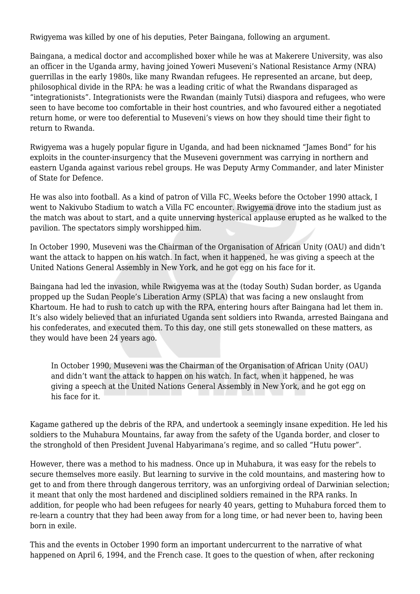Rwigyema was killed by one of his deputies, Peter Baingana, following an argument.

Baingana, a medical doctor and accomplished boxer while he was at Makerere University, was also an officer in the Uganda army, having joined Yoweri Museveni's National Resistance Army (NRA) guerrillas in the early 1980s, like many Rwandan refugees. He represented an arcane, but deep, philosophical divide in the RPA: he was a leading critic of what the Rwandans disparaged as "integrationists". Integrationists were the Rwandan (mainly Tutsi) diaspora and refugees, who were seen to have become too comfortable in their host countries, and who favoured either a negotiated return home, or were too deferential to Museveni's views on how they should time their fight to return to Rwanda.

Rwigyema was a hugely popular figure in Uganda, and had been nicknamed "James Bond" for his exploits in the counter-insurgency that the Museveni government was carrying in northern and eastern Uganda against various rebel groups. He was Deputy Army Commander, and later Minister of State for Defence.

He was also into football. As a kind of patron of Villa FC. Weeks before the October 1990 attack, I went to Nakivubo Stadium to watch a Villa FC encounter. Rwigyema drove into the stadium just as the match was about to start, and a quite unnerving hysterical applause erupted as he walked to the pavilion. The spectators simply worshipped him.

In October 1990, Museveni was the Chairman of the Organisation of African Unity (OAU) and didn't want the attack to happen on his watch. In fact, when it happened, he was giving a speech at the United Nations General Assembly in New York, and he got egg on his face for it.

Baingana had led the invasion, while Rwigyema was at the (today South) Sudan border, as Uganda propped up the Sudan People's Liberation Army (SPLA) that was facing a new onslaught from Khartoum. He had to rush to catch up with the RPA, entering hours after Baingana had let them in. It's also widely believed that an infuriated Uganda sent soldiers into Rwanda, arrested Baingana and his confederates, and executed them. To this day, one still gets stonewalled on these matters, as they would have been 24 years ago.

In October 1990, Museveni was the Chairman of the Organisation of African Unity (OAU) and didn't want the attack to happen on his watch. In fact, when it happened, he was giving a speech at the United Nations General Assembly in New York, and he got egg on his face for it.

Kagame gathered up the debris of the RPA, and undertook a seemingly insane expedition. He led his soldiers to the Muhabura Mountains, far away from the safety of the Uganda border, and closer to the stronghold of then President Juvenal Habyarimana's regime, and so called "Hutu power".

However, there was a method to his madness. Once up in Muhabura, it was easy for the rebels to secure themselves more easily. But learning to survive in the cold mountains, and mastering how to get to and from there through dangerous territory, was an unforgiving ordeal of Darwinian selection; it meant that only the most hardened and disciplined soldiers remained in the RPA ranks. In addition, for people who had been refugees for nearly 40 years, getting to Muhabura forced them to re-learn a country that they had been away from for a long time, or had never been to, having been born in exile.

This and the events in October 1990 form an important undercurrent to the narrative of what happened on April 6, 1994, and the French case. It goes to the question of when, after reckoning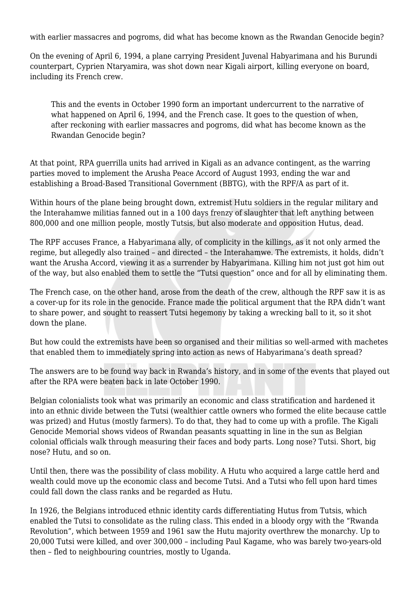with earlier massacres and pogroms, did what has become known as the Rwandan Genocide begin?

On the evening of April 6, 1994, a plane carrying President Juvenal Habyarimana and his Burundi counterpart, Cyprien Ntaryamira, was shot down near Kigali airport, killing everyone on board, including its French crew.

This and the events in October 1990 form an important undercurrent to the narrative of what happened on April 6, 1994, and the French case. It goes to the question of when, after reckoning with earlier massacres and pogroms, did what has become known as the Rwandan Genocide begin?

At that point, RPA guerrilla units had arrived in Kigali as an advance contingent, as the warring parties moved to implement the Arusha Peace Accord of August 1993, ending the war and establishing a Broad-Based Transitional Government (BBTG), with the RPF/A as part of it.

Within hours of the plane being brought down, extremist Hutu soldiers in the regular military and the Interahamwe militias fanned out in a 100 days frenzy of slaughter that left anything between 800,000 and one million people, mostly Tutsis, but also moderate and opposition Hutus, dead.

The RPF accuses France, a Habyarimana ally, of complicity in the killings, as it not only armed the regime, but allegedly also trained – and directed – the Interahamwe. The extremists, it holds, didn't want the Arusha Accord, viewing it as a surrender by Habyarimana. Killing him not just got him out of the way, but also enabled them to settle the "Tutsi question" once and for all by eliminating them.

The French case, on the other hand, arose from the death of the crew, although the RPF saw it is as a cover-up for its role in the genocide. France made the political argument that the RPA didn't want to share power, and sought to reassert Tutsi hegemony by taking a wrecking ball to it, so it shot down the plane.

But how could the extremists have been so organised and their militias so well-armed with machetes that enabled them to immediately spring into action as news of Habyarimana's death spread?

The answers are to be found way back in Rwanda's history, and in some of the events that played out after the RPA were beaten back in late October 1990.

Belgian colonialists took what was primarily an economic and class stratification and hardened it into an ethnic divide between the Tutsi (wealthier cattle owners who formed the elite because cattle was prized) and Hutus (mostly farmers). To do that, they had to come up with a profile. The Kigali Genocide Memorial shows videos of Rwandan peasants squatting in line in the sun as Belgian colonial officials walk through measuring their faces and body parts. Long nose? Tutsi. Short, big nose? Hutu, and so on.

Until then, there was the possibility of class mobility. A Hutu who acquired a large cattle herd and wealth could move up the economic class and become Tutsi. And a Tutsi who fell upon hard times could fall down the class ranks and be regarded as Hutu.

In 1926, the Belgians introduced ethnic identity cards differentiating Hutus from Tutsis, which enabled the Tutsi to consolidate as the ruling class. This ended in a bloody orgy with the "Rwanda Revolution", which between 1959 and 1961 saw the Hutu majority overthrew the monarchy. Up to 20,000 Tutsi were killed, and over 300,000 – including Paul Kagame, who was barely two-years-old then – fled to neighbouring countries, mostly to Uganda.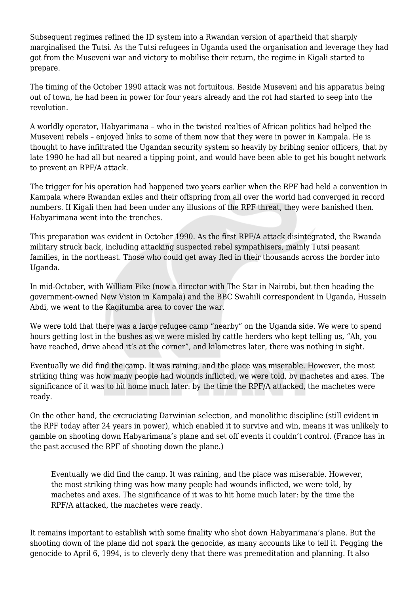Subsequent regimes refined the ID system into a Rwandan version of apartheid that sharply marginalised the Tutsi. As the Tutsi refugees in Uganda used the organisation and leverage they had got from the Museveni war and victory to mobilise their return, the regime in Kigali started to prepare.

The timing of the October 1990 attack was not fortuitous. Beside Museveni and his apparatus being out of town, he had been in power for four years already and the rot had started to seep into the revolution.

A worldly operator, Habyarimana – who in the twisted realties of African politics had helped the Museveni rebels – enjoyed links to some of them now that they were in power in Kampala. He is thought to have infiltrated the Ugandan security system so heavily by bribing senior officers, that by late 1990 he had all but neared a tipping point, and would have been able to get his bought network to prevent an RPF/A attack.

The trigger for his operation had happened two years earlier when the RPF had held a convention in Kampala where Rwandan exiles and their offspring from all over the world had converged in record numbers. If Kigali then had been under any illusions of the RPF threat, they were banished then. Habyarimana went into the trenches.

This preparation was evident in October 1990. As the first RPF/A attack disintegrated, the Rwanda military struck back, including attacking suspected rebel sympathisers, mainly Tutsi peasant families, in the northeast. Those who could get away fled in their thousands across the border into Uganda.

In mid-October, with William Pike (now a director with The Star in Nairobi, but then heading the government-owned New Vision in Kampala) and the BBC Swahili correspondent in Uganda, Hussein Abdi, we went to the Kagitumba area to cover the war.

We were told that there was a large refugee camp "nearby" on the Uganda side. We were to spend hours getting lost in the bushes as we were misled by cattle herders who kept telling us, "Ah, you have reached, drive ahead it's at the corner", and kilometres later, there was nothing in sight.

Eventually we did find the camp. It was raining, and the place was miserable. However, the most striking thing was how many people had wounds inflicted, we were told, by machetes and axes. The significance of it was to hit home much later: by the time the RPF/A attacked, the machetes were ready.

On the other hand, the excruciating Darwinian selection, and monolithic discipline (still evident in the RPF today after 24 years in power), which enabled it to survive and win, means it was unlikely to gamble on shooting down Habyarimana's plane and set off events it couldn't control. (France has in the past accused the RPF of shooting down the plane.)

Eventually we did find the camp. It was raining, and the place was miserable. However, the most striking thing was how many people had wounds inflicted, we were told, by machetes and axes. The significance of it was to hit home much later: by the time the RPF/A attacked, the machetes were ready.

It remains important to establish with some finality who shot down Habyarimana's plane. But the shooting down of the plane did not spark the genocide, as many accounts like to tell it. Pegging the genocide to April 6, 1994, is to cleverly deny that there was premeditation and planning. It also